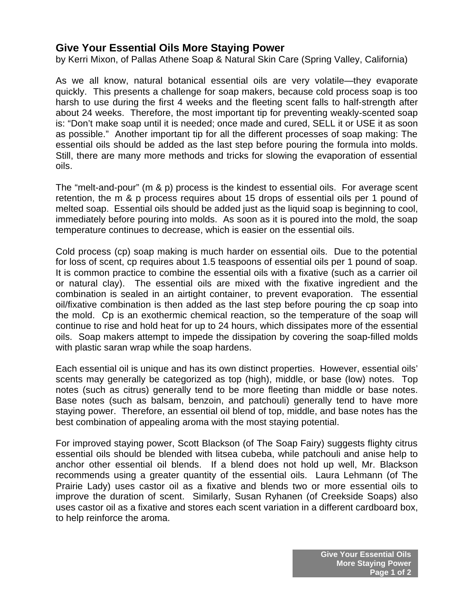## **Give Your Essential Oils More Staying Power**

by Kerri Mixon, of Pallas Athene Soap & Natural Skin Care (Spring Valley, California)

As we all know, natural botanical essential oils are very volatile—they evaporate quickly. This presents a challenge for soap makers, because cold process soap is too harsh to use during the first 4 weeks and the fleeting scent falls to half-strength after about 24 weeks. Therefore, the most important tip for preventing weakly-scented soap is: "Don't make soap until it is needed; once made and cured, SELL it or USE it as soon as possible." Another important tip for all the different processes of soap making: The essential oils should be added as the last step before pouring the formula into molds. Still, there are many more methods and tricks for slowing the evaporation of essential oils.

The "melt-and-pour" (m & p) process is the kindest to essential oils. For average scent retention, the m & p process requires about 15 drops of essential oils per 1 pound of melted soap. Essential oils should be added just as the liquid soap is beginning to cool, immediately before pouring into molds. As soon as it is poured into the mold, the soap temperature continues to decrease, which is easier on the essential oils.

Cold process (cp) soap making is much harder on essential oils. Due to the potential for loss of scent, cp requires about 1.5 teaspoons of essential oils per 1 pound of soap. It is common practice to combine the essential oils with a fixative (such as a carrier oil or natural clay). The essential oils are mixed with the fixative ingredient and the combination is sealed in an airtight container, to prevent evaporation. The essential oil/fixative combination is then added as the last step before pouring the cp soap into the mold. Cp is an exothermic chemical reaction, so the temperature of the soap will continue to rise and hold heat for up to 24 hours, which dissipates more of the essential oils. Soap makers attempt to impede the dissipation by covering the soap-filled molds with plastic saran wrap while the soap hardens.

Each essential oil is unique and has its own distinct properties. However, essential oils' scents may generally be categorized as top (high), middle, or base (low) notes. Top notes (such as citrus) generally tend to be more fleeting than middle or base notes. Base notes (such as balsam, benzoin, and patchouli) generally tend to have more staying power. Therefore, an essential oil blend of top, middle, and base notes has the best combination of appealing aroma with the most staying potential.

For improved staying power, Scott Blackson (of The Soap Fairy) suggests flighty citrus essential oils should be blended with litsea cubeba, while patchouli and anise help to anchor other essential oil blends. If a blend does not hold up well, Mr. Blackson recommends using a greater quantity of the essential oils. Laura Lehmann (of The Prairie Lady) uses castor oil as a fixative and blends two or more essential oils to improve the duration of scent. Similarly, Susan Ryhanen (of Creekside Soaps) also uses castor oil as a fixative and stores each scent variation in a different cardboard box, to help reinforce the aroma.